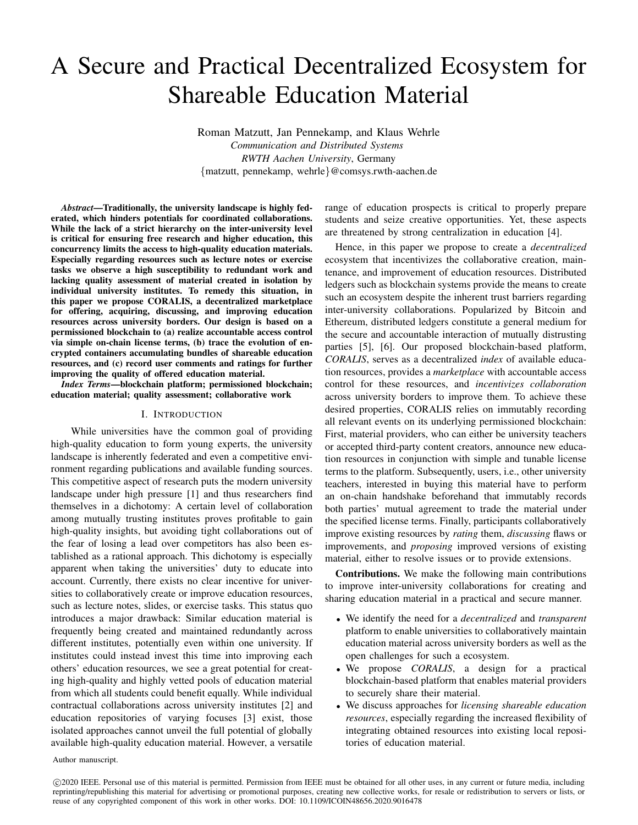# A Secure and Practical Decentralized Ecosystem for Shareable Education Material

Roman Matzutt, Jan Pennekamp, and Klaus Wehrle *Communication and Distributed Systems RWTH Aachen University*, Germany {matzutt, pennekamp, wehrle}@comsys.rwth-aachen.de

*Abstract*—Traditionally, the university landscape is highly federated, which hinders potentials for coordinated collaborations. While the lack of a strict hierarchy on the inter-university level is critical for ensuring free research and higher education, this concurrency limits the access to high-quality education materials. Especially regarding resources such as lecture notes or exercise tasks we observe a high susceptibility to redundant work and lacking quality assessment of material created in isolation by individual university institutes. To remedy this situation, in this paper we propose CORALIS, a decentralized marketplace for offering, acquiring, discussing, and improving education resources across university borders. Our design is based on a permissioned blockchain to (a) realize accountable access control via simple on-chain license terms, (b) trace the evolution of encrypted containers accumulating bundles of shareable education resources, and (c) record user comments and ratings for further improving the quality of offered education material.

*Index Terms*—blockchain platform; permissioned blockchain; education material; quality assessment; collaborative work

# I. INTRODUCTION

While universities have the common goal of providing high-quality education to form young experts, the university landscape is inherently federated and even a competitive environment regarding publications and available funding sources. This competitive aspect of research puts the modern university landscape under high pressure [\[1\]](#page-5-0) and thus researchers find themselves in a dichotomy: A certain level of collaboration among mutually trusting institutes proves profitable to gain high-quality insights, but avoiding tight collaborations out of the fear of losing a lead over competitors has also been established as a rational approach. This dichotomy is especially apparent when taking the universities' duty to educate into account. Currently, there exists no clear incentive for universities to collaboratively create or improve education resources, such as lecture notes, slides, or exercise tasks. This status quo introduces a major drawback: Similar education material is frequently being created and maintained redundantly across different institutes, potentially even within one university. If institutes could instead invest this time into improving each others' education resources, we see a great potential for creating high-quality and highly vetted pools of education material from which all students could benefit equally. While individual contractual collaborations across university institutes [\[2\]](#page-5-1) and education repositories of varying focuses [\[3\]](#page-5-2) exist, those isolated approaches cannot unveil the full potential of globally available high-quality education material. However, a versatile

range of education prospects is critical to properly prepare students and seize creative opportunities. Yet, these aspects are threatened by strong centralization in education [\[4\]](#page-5-3).

Hence, in this paper we propose to create a *decentralized* ecosystem that incentivizes the collaborative creation, maintenance, and improvement of education resources. Distributed ledgers such as blockchain systems provide the means to create such an ecosystem despite the inherent trust barriers regarding inter-university collaborations. Popularized by Bitcoin and Ethereum, distributed ledgers constitute a general medium for the secure and accountable interaction of mutually distrusting parties [\[5\]](#page-5-4), [\[6\]](#page-5-5). Our proposed blockchain-based platform, *CORALIS*, serves as a decentralized *index* of available education resources, provides a *marketplace* with accountable access control for these resources, and *incentivizes collaboration* across university borders to improve them. To achieve these desired properties, CORALIS relies on immutably recording all relevant events on its underlying permissioned blockchain: First, material providers, who can either be university teachers or accepted third-party content creators, announce new education resources in conjunction with simple and tunable license terms to the platform. Subsequently, users, i.e., other university teachers, interested in buying this material have to perform an on-chain handshake beforehand that immutably records both parties' mutual agreement to trade the material under the specified license terms. Finally, participants collaboratively improve existing resources by *rating* them, *discussing* flaws or improvements, and *proposing* improved versions of existing material, either to resolve issues or to provide extensions.

Contributions. We make the following main contributions to improve inter-university collaborations for creating and sharing education material in a practical and secure manner.

- We identify the need for a *decentralized* and *transparent* platform to enable universities to collaboratively maintain education material across university borders as well as the open challenges for such a ecosystem.
- We propose *CORALIS*, a design for a practical blockchain-based platform that enables material providers to securely share their material.
- We discuss approaches for *licensing shareable education resources*, especially regarding the increased flexibility of integrating obtained resources into existing local repositories of education material.

Author manuscript.

 c 2020 IEEE. Personal use of this material is permitted. Permission from IEEE must be obtained for all other uses, in any current or future media, including reprinting/republishing this material for advertising or promotional purposes, creating new collective works, for resale or redistribution to servers or lists, or reuse of any copyrighted component of this work in other works. DOI: [10.1109/ICOIN48656.2020.9016478](https://doi.org/10.1109/ICOIN48656.2020.9016478)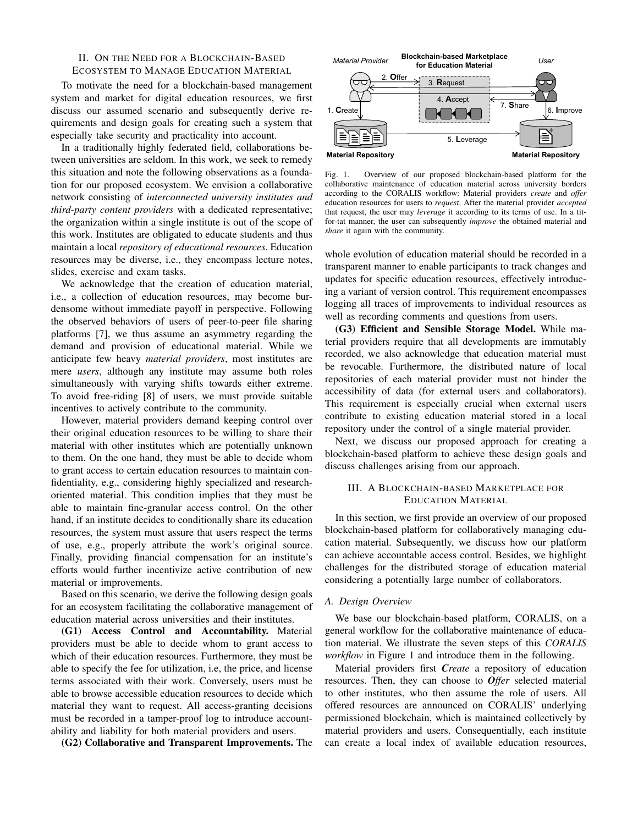# II. ON THE NEED FOR A BLOCKCHAIN-BASED ECOSYSTEM TO MANAGE EDUCATION MATERIAL

To motivate the need for a blockchain-based management system and market for digital education resources, we first discuss our assumed scenario and subsequently derive requirements and design goals for creating such a system that especially take security and practicality into account.

In a traditionally highly federated field, collaborations between universities are seldom. In this work, we seek to remedy this situation and note the following observations as a foundation for our proposed ecosystem. We envision a collaborative network consisting of *interconnected university institutes and third-party content providers* with a dedicated representative; the organization within a single institute is out of the scope of this work. Institutes are obligated to educate students and thus maintain a local *repository of educational resources*. Education resources may be diverse, i.e., they encompass lecture notes, slides, exercise and exam tasks.

We acknowledge that the creation of education material, i.e., a collection of education resources, may become burdensome without immediate payoff in perspective. Following the observed behaviors of users of peer-to-peer file sharing platforms [\[7\]](#page-5-6), we thus assume an asymmetry regarding the demand and provision of educational material. While we anticipate few heavy *material providers*, most institutes are mere *users*, although any institute may assume both roles simultaneously with varying shifts towards either extreme. To avoid free-riding [\[8\]](#page-5-7) of users, we must provide suitable incentives to actively contribute to the community.

However, material providers demand keeping control over their original education resources to be willing to share their material with other institutes which are potentially unknown to them. On the one hand, they must be able to decide whom to grant access to certain education resources to maintain confidentiality, e.g., considering highly specialized and researchoriented material. This condition implies that they must be able to maintain fine-granular access control. On the other hand, if an institute decides to conditionally share its education resources, the system must assure that users respect the terms of use, e.g., properly attribute the work's original source. Finally, providing financial compensation for an institute's efforts would further incentivize active contribution of new material or improvements.

Based on this scenario, we derive the following design goals for an ecosystem facilitating the collaborative management of education material across universities and their institutes.

<span id="page-1-0"></span>[\(G1\)](#page-1-0) Access Control and Accountability. Material providers must be able to decide whom to grant access to which of their education resources. Furthermore, they must be able to specify the fee for utilization, i.e, the price, and license terms associated with their work. Conversely, users must be able to browse accessible education resources to decide which material they want to request. All access-granting decisions must be recorded in a tamper-proof log to introduce accountability and liability for both material providers and users.

<span id="page-1-1"></span>[\(G2\)](#page-1-1) Collaborative and Transparent Improvements. The



<span id="page-1-3"></span>Fig. 1. Overview of our proposed blockchain-based platform for the collaborative maintenance of education material across university borders according to the CORALIS workflow: Material providers *create* and *offer* education resources for users to *request*. After the material provider *accepted* that request, the user may *leverage* it according to its terms of use. In a titfor-tat manner, the user can subsequently *improve* the obtained material and *share* it again with the community.

whole evolution of education material should be recorded in a transparent manner to enable participants to track changes and updates for specific education resources, effectively introducing a variant of version control. This requirement encompasses logging all traces of improvements to individual resources as well as recording comments and questions from users.

<span id="page-1-2"></span>[\(G3\)](#page-1-2) Efficient and Sensible Storage Model. While material providers require that all developments are immutably recorded, we also acknowledge that education material must be revocable. Furthermore, the distributed nature of local repositories of each material provider must not hinder the accessibility of data (for external users and collaborators). This requirement is especially crucial when external users contribute to existing education material stored in a local repository under the control of a single material provider.

Next, we discuss our proposed approach for creating a blockchain-based platform to achieve these design goals and discuss challenges arising from our approach.

## III. A BLOCKCHAIN-BASED MARKETPLACE FOR EDUCATION MATERIAL

In this section, we first provide an overview of our proposed blockchain-based platform for collaboratively managing education material. Subsequently, we discuss how our platform can achieve accountable access control. Besides, we highlight challenges for the distributed storage of education material considering a potentially large number of collaborators.

#### *A. Design Overview*

We base our blockchain-based platform, CORALIS, on a general workflow for the collaborative maintenance of education material. We illustrate the seven steps of this *CORALIS workflow* in Figure [1](#page-1-3) and introduce them in the following.

Material providers first *Create* a repository of education resources. Then, they can choose to *Offer* selected material to other institutes, who then assume the role of users. All offered resources are announced on CORALIS' underlying permissioned blockchain, which is maintained collectively by material providers and users. Consequentially, each institute can create a local index of available education resources,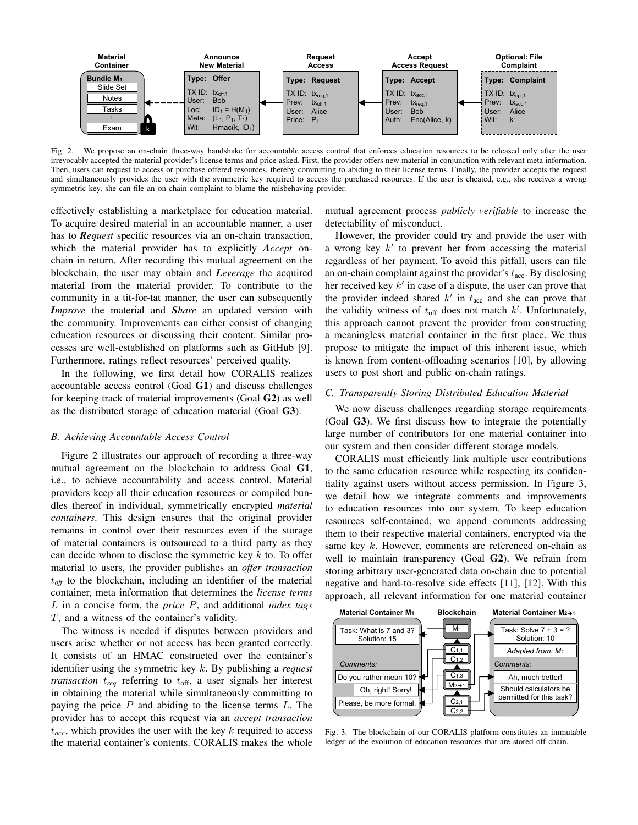

<span id="page-2-0"></span>Fig. 2. We propose an on-chain three-way handshake for accountable access control that enforces education resources to be released only after the user irrevocably accepted the material provider's license terms and price asked. First, the provider offers new material in conjunction with relevant meta information. Then, users can request to access or purchase offered resources, thereby committing to abiding to their license terms. Finally, the provider accepts the request and simultaneously provides the user with the symmetric key required to access the purchased resources. If the user is cheated, e.g., she receives a wrong symmetric key, she can file an on-chain complaint to blame the misbehaving provider.

effectively establishing a marketplace for education material. To acquire desired material in an accountable manner, a user has to *Request* specific resources via an on-chain transaction, which the material provider has to explicitly *Accept* onchain in return. After recording this mutual agreement on the blockchain, the user may obtain and *Leverage* the acquired material from the material provider. To contribute to the community in a tit-for-tat manner, the user can subsequently *Improve* the material and *Share* an updated version with the community. Improvements can either consist of changing education resources or discussing their content. Similar processes are well-established on platforms such as GitHub [\[9\]](#page-5-8). Furthermore, ratings reflect resources' perceived quality.

In the following, we first detail how CORALIS realizes accountable access control (Goal [G1](#page-1-0)) and discuss challenges for keeping track of material improvements (Goal [G2](#page-1-1)) as well as the distributed storage of education material (Goal [G3](#page-1-2)).

#### <span id="page-2-2"></span>*B. Achieving Accountable Access Control*

Figure [2](#page-2-0) illustrates our approach of recording a three-way mutual agreement on the blockchain to address Goal [G1](#page-1-0), i.e., to achieve accountability and access control. Material providers keep all their education resources or compiled bundles thereof in individual, symmetrically encrypted *material containers*. This design ensures that the original provider remains in control over their resources even if the storage of material containers is outsourced to a third party as they can decide whom to disclose the symmetric key  $k$  to. To offer material to users, the provider publishes an *offer transaction*  $t_{off}$  to the blockchain, including an identifier of the material container, meta information that determines the *license terms* L in a concise form, the *price* P, and additional *index tags* T, and a witness of the container's validity.

The witness is needed if disputes between providers and users arise whether or not access has been granted correctly. It consists of an HMAC constructed over the container's identifier using the symmetric key k. By publishing a *request transaction*  $t_{req}$  referring to  $t_{off}$ , a user signals her interest in obtaining the material while simultaneously committing to paying the price  $P$  and abiding to the license terms  $L$ . The provider has to accept this request via an *accept transaction*  $t_{acc}$ , which provides the user with the key  $k$  required to access the material container's contents. CORALIS makes the whole

mutual agreement process *publicly verifiable* to increase the detectability of misconduct.

However, the provider could try and provide the user with a wrong key  $k'$  to prevent her from accessing the material regardless of her payment. To avoid this pitfall, users can file an on-chain complaint against the provider's  $t_{\text{acc}}$ . By disclosing her received key  $k'$  in case of a dispute, the user can prove that the provider indeed shared  $k'$  in  $t_{\text{acc}}$  and she can prove that the validity witness of  $t_{\text{off}}$  does not match  $k'$ . Unfortunately, this approach cannot prevent the provider from constructing a meaningless material container in the first place. We thus propose to mitigate the impact of this inherent issue, which is known from content-offloading scenarios [\[10\]](#page-5-9), by allowing users to post short and public on-chain ratings.

#### *C. Transparently Storing Distributed Education Material*

We now discuss challenges regarding storage requirements (Goal [G3](#page-1-2)). We first discuss how to integrate the potentially large number of contributors for one material container into our system and then consider different storage models.

CORALIS must efficiently link multiple user contributions to the same education resource while respecting its confidentiality against users without access permission. In Figure [3,](#page-2-1) we detail how we integrate comments and improvements to education resources into our system. To keep education resources self-contained, we append comments addressing them to their respective material containers, encrypted via the same key k. However, comments are referenced on-chain as well to maintain transparency (Goal [G2](#page-1-1)). We refrain from storing arbitrary user-generated data on-chain due to potential negative and hard-to-resolve side effects [\[11\]](#page-5-10), [\[12\]](#page-5-11). With this approach, all relevant information for one material container



<span id="page-2-1"></span>Fig. 3. The blockchain of our CORALIS platform constitutes an immutable ledger of the evolution of education resources that are stored off-chain.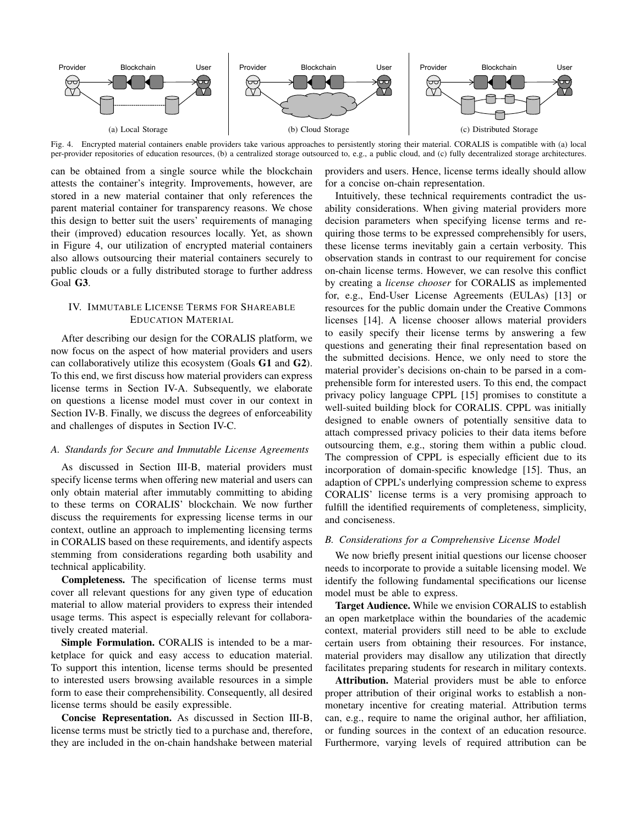

<span id="page-3-0"></span>Fig. 4. Encrypted material containers enable providers take various approaches to persistently storing their material. CORALIS is compatible with (a) local per-provider repositories of education resources, (b) a centralized storage outsourced to, e.g., a public cloud, and (c) fully decentralized storage architectures.

can be obtained from a single source while the blockchain attests the container's integrity. Improvements, however, are stored in a new material container that only references the parent material container for transparency reasons. We chose this design to better suit the users' requirements of managing their (improved) education resources locally. Yet, as shown in Figure [4,](#page-3-0) our utilization of encrypted material containers also allows outsourcing their material containers securely to public clouds or a fully distributed storage to further address Goal [G3](#page-1-2).

# IV. IMMUTABLE LICENSE TERMS FOR SHAREABLE EDUCATION MATERIAL

After describing our design for the CORALIS platform, we now focus on the aspect of how material providers and users can collaboratively utilize this ecosystem (Goals [G1](#page-1-0) and [G2](#page-1-1)). To this end, we first discuss how material providers can express license terms in Section [IV-A.](#page-3-1) Subsequently, we elaborate on questions a license model must cover in our context in Section [IV-B.](#page-3-2) Finally, we discuss the degrees of enforceability and challenges of disputes in Section [IV-C.](#page-4-0)

## <span id="page-3-1"></span>*A. Standards for Secure and Immutable License Agreements*

As discussed in Section [III-B,](#page-2-2) material providers must specify license terms when offering new material and users can only obtain material after immutably committing to abiding to these terms on CORALIS' blockchain. We now further discuss the requirements for expressing license terms in our context, outline an approach to implementing licensing terms in CORALIS based on these requirements, and identify aspects stemming from considerations regarding both usability and technical applicability.

Completeness. The specification of license terms must cover all relevant questions for any given type of education material to allow material providers to express their intended usage terms. This aspect is especially relevant for collaboratively created material.

Simple Formulation. CORALIS is intended to be a marketplace for quick and easy access to education material. To support this intention, license terms should be presented to interested users browsing available resources in a simple form to ease their comprehensibility. Consequently, all desired license terms should be easily expressible.

Concise Representation. As discussed in Section [III-B,](#page-2-2) license terms must be strictly tied to a purchase and, therefore, they are included in the on-chain handshake between material providers and users. Hence, license terms ideally should allow for a concise on-chain representation.

Intuitively, these technical requirements contradict the usability considerations. When giving material providers more decision parameters when specifying license terms and requiring those terms to be expressed comprehensibly for users, these license terms inevitably gain a certain verbosity. This observation stands in contrast to our requirement for concise on-chain license terms. However, we can resolve this conflict by creating a *license chooser* for CORALIS as implemented for, e.g., End-User License Agreements (EULAs) [\[13\]](#page-5-12) or resources for the public domain under the Creative Commons licenses [\[14\]](#page-5-13). A license chooser allows material providers to easily specify their license terms by answering a few questions and generating their final representation based on the submitted decisions. Hence, we only need to store the material provider's decisions on-chain to be parsed in a comprehensible form for interested users. To this end, the compact privacy policy language CPPL [\[15\]](#page-5-14) promises to constitute a well-suited building block for CORALIS. CPPL was initially designed to enable owners of potentially sensitive data to attach compressed privacy policies to their data items before outsourcing them, e.g., storing them within a public cloud. The compression of CPPL is especially efficient due to its incorporation of domain-specific knowledge [\[15\]](#page-5-14). Thus, an adaption of CPPL's underlying compression scheme to express CORALIS' license terms is a very promising approach to fulfill the identified requirements of completeness, simplicity, and conciseness.

## <span id="page-3-2"></span>*B. Considerations for a Comprehensive License Model*

We now briefly present initial questions our license chooser needs to incorporate to provide a suitable licensing model. We identify the following fundamental specifications our license model must be able to express.

Target Audience. While we envision CORALIS to establish an open marketplace within the boundaries of the academic context, material providers still need to be able to exclude certain users from obtaining their resources. For instance, material providers may disallow any utilization that directly facilitates preparing students for research in military contexts.

Attribution. Material providers must be able to enforce proper attribution of their original works to establish a nonmonetary incentive for creating material. Attribution terms can, e.g., require to name the original author, her affiliation, or funding sources in the context of an education resource. Furthermore, varying levels of required attribution can be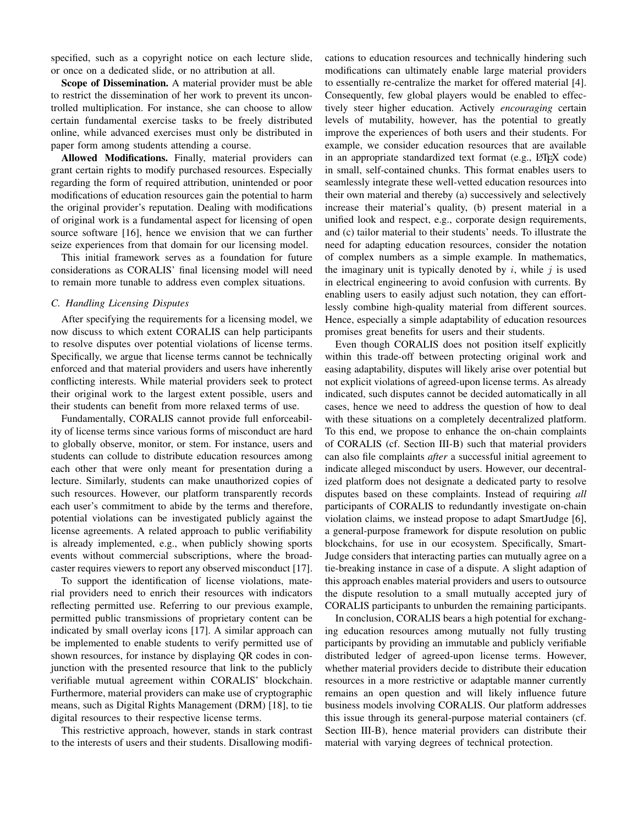specified, such as a copyright notice on each lecture slide, or once on a dedicated slide, or no attribution at all.

Scope of Dissemination. A material provider must be able to restrict the dissemination of her work to prevent its uncontrolled multiplication. For instance, she can choose to allow certain fundamental exercise tasks to be freely distributed online, while advanced exercises must only be distributed in paper form among students attending a course.

Allowed Modifications. Finally, material providers can grant certain rights to modify purchased resources. Especially regarding the form of required attribution, unintended or poor modifications of education resources gain the potential to harm the original provider's reputation. Dealing with modifications of original work is a fundamental aspect for licensing of open source software [\[16\]](#page-5-15), hence we envision that we can further seize experiences from that domain for our licensing model.

This initial framework serves as a foundation for future considerations as CORALIS' final licensing model will need to remain more tunable to address even complex situations.

## <span id="page-4-0"></span>*C. Handling Licensing Disputes*

After specifying the requirements for a licensing model, we now discuss to which extent CORALIS can help participants to resolve disputes over potential violations of license terms. Specifically, we argue that license terms cannot be technically enforced and that material providers and users have inherently conflicting interests. While material providers seek to protect their original work to the largest extent possible, users and their students can benefit from more relaxed terms of use.

Fundamentally, CORALIS cannot provide full enforceability of license terms since various forms of misconduct are hard to globally observe, monitor, or stem. For instance, users and students can collude to distribute education resources among each other that were only meant for presentation during a lecture. Similarly, students can make unauthorized copies of such resources. However, our platform transparently records each user's commitment to abide by the terms and therefore, potential violations can be investigated publicly against the license agreements. A related approach to public verifiability is already implemented, e.g., when publicly showing sports events without commercial subscriptions, where the broadcaster requires viewers to report any observed misconduct [\[17\]](#page-5-16).

To support the identification of license violations, material providers need to enrich their resources with indicators reflecting permitted use. Referring to our previous example, permitted public transmissions of proprietary content can be indicated by small overlay icons [\[17\]](#page-5-16). A similar approach can be implemented to enable students to verify permitted use of shown resources, for instance by displaying QR codes in conjunction with the presented resource that link to the publicly verifiable mutual agreement within CORALIS' blockchain. Furthermore, material providers can make use of cryptographic means, such as Digital Rights Management (DRM) [\[18\]](#page-5-17), to tie digital resources to their respective license terms.

This restrictive approach, however, stands in stark contrast to the interests of users and their students. Disallowing modifications to education resources and technically hindering such modifications can ultimately enable large material providers to essentially re-centralize the market for offered material [\[4\]](#page-5-3). Consequently, few global players would be enabled to effectively steer higher education. Actively *encouraging* certain levels of mutability, however, has the potential to greatly improve the experiences of both users and their students. For example, we consider education resources that are available in an appropriate standardized text format (e.g., LATEX code) in small, self-contained chunks. This format enables users to seamlessly integrate these well-vetted education resources into their own material and thereby (a) successively and selectively increase their material's quality, (b) present material in a unified look and respect, e.g., corporate design requirements, and (c) tailor material to their students' needs. To illustrate the need for adapting education resources, consider the notation of complex numbers as a simple example. In mathematics, the imaginary unit is typically denoted by  $i$ , while  $j$  is used in electrical engineering to avoid confusion with currents. By enabling users to easily adjust such notation, they can effortlessly combine high-quality material from different sources. Hence, especially a simple adaptability of education resources promises great benefits for users and their students.

Even though CORALIS does not position itself explicitly within this trade-off between protecting original work and easing adaptability, disputes will likely arise over potential but not explicit violations of agreed-upon license terms. As already indicated, such disputes cannot be decided automatically in all cases, hence we need to address the question of how to deal with these situations on a completely decentralized platform. To this end, we propose to enhance the on-chain complaints of CORALIS (cf. Section [III-B\)](#page-2-2) such that material providers can also file complaints *after* a successful initial agreement to indicate alleged misconduct by users. However, our decentralized platform does not designate a dedicated party to resolve disputes based on these complaints. Instead of requiring *all* participants of CORALIS to redundantly investigate on-chain violation claims, we instead propose to adapt SmartJudge [\[6\]](#page-5-5), a general-purpose framework for dispute resolution on public blockchains, for use in our ecosystem. Specifically, Smart-Judge considers that interacting parties can mutually agree on a tie-breaking instance in case of a dispute. A slight adaption of this approach enables material providers and users to outsource the dispute resolution to a small mutually accepted jury of CORALIS participants to unburden the remaining participants.

In conclusion, CORALIS bears a high potential for exchanging education resources among mutually not fully trusting participants by providing an immutable and publicly verifiable distributed ledger of agreed-upon license terms. However, whether material providers decide to distribute their education resources in a more restrictive or adaptable manner currently remains an open question and will likely influence future business models involving CORALIS. Our platform addresses this issue through its general-purpose material containers (cf. Section [III-B\)](#page-2-2), hence material providers can distribute their material with varying degrees of technical protection.